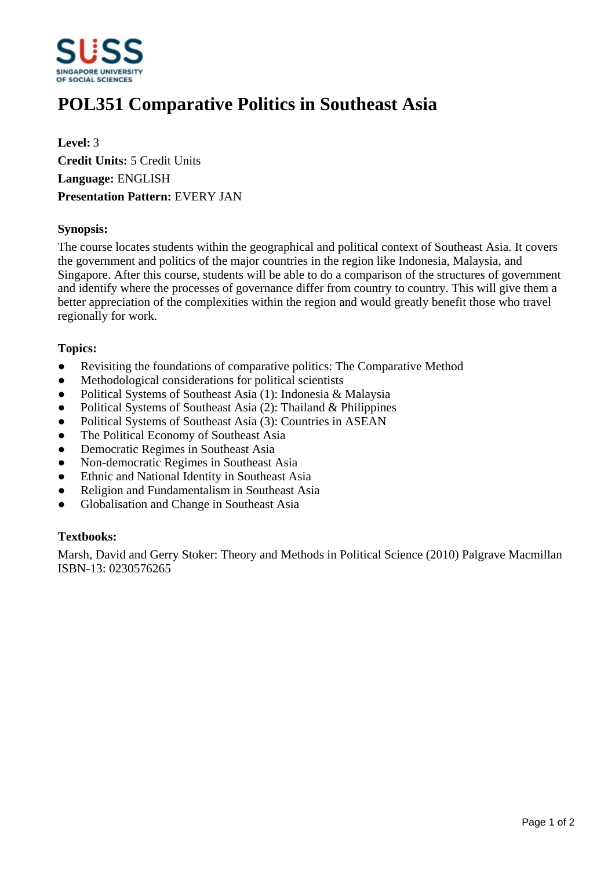

# **POL351 Comparative Politics in Southeast Asia**

**Level:** 3 **Credit Units:** 5 Credit Units **Language:** ENGLISH **Presentation Pattern:** EVERY JAN

## **Synopsis:**

The course locates students within the geographical and political context of Southeast Asia. It covers the government and politics of the major countries in the region like Indonesia, Malaysia, and Singapore. After this course, students will be able to do a comparison of the structures of government and identify where the processes of governance differ from country to country. This will give them a better appreciation of the complexities within the region and would greatly benefit those who travel regionally for work.

## **Topics:**

- Revisiting the foundations of comparative politics: The Comparative Method
- Methodological considerations for political scientists
- Political Systems of Southeast Asia (1): Indonesia & Malaysia
- Political Systems of Southeast Asia (2): Thailand & Philippines
- Political Systems of Southeast Asia (3): Countries in ASEAN
- The Political Economy of Southeast Asia
- Democratic Regimes in Southeast Asia
- Non-democratic Regimes in Southeast Asia
- Ethnic and National Identity in Southeast Asia
- Religion and Fundamentalism in Southeast Asia
- Globalisation and Change in Southeast Asia

#### **Textbooks:**

Marsh, David and Gerry Stoker: Theory and Methods in Political Science (2010) Palgrave Macmillan ISBN-13: 0230576265